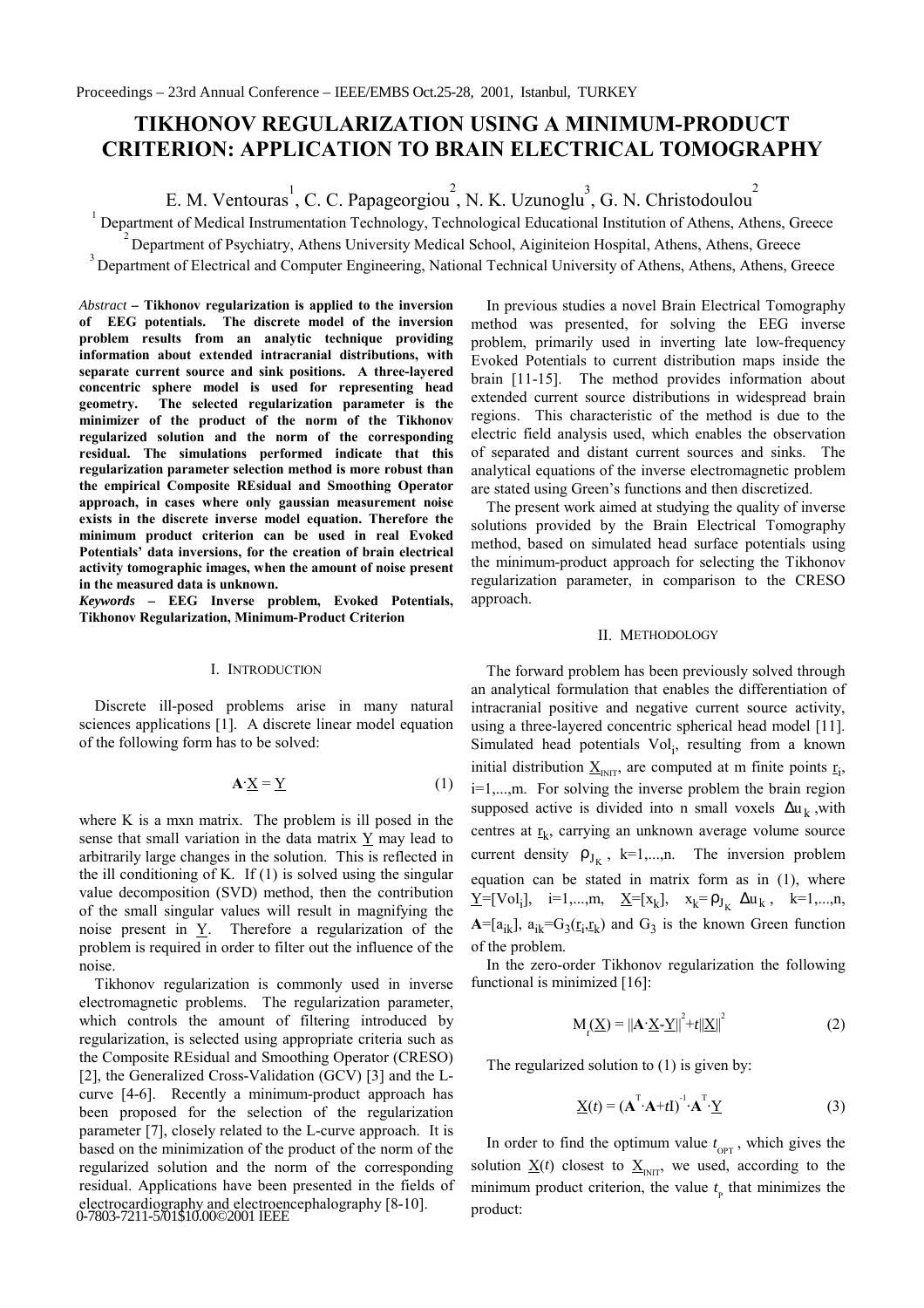# **TIKHONOV REGULARIZATION USING A MINIMUM-PRODUCT CRITERION: APPLICATION TO BRAIN ELECTRICAL TOMOGRAPHY**

E. M. Ventouras<sup>1</sup>, C. C. Papageorgiou<sup>2</sup>, N. K. Uzunoglu<sup>3</sup>, G. N. Christodoulou<sup>2</sup>

Department of Medical Instrumentation Technology, Technological Educational Institution of Athens, Athens, Greece

 $2^{2}$  Department of Psychiatry, Athens University Medical School, Aiginiteion Hospital, Athens, Athens, Greece

<sup>3</sup> Department of Electrical and Computer Engineering, National Technical University of Athens, Athens, Athens, Greece

*Abstract –* **Tikhonov regularization is applied to the inversion of EEG potentials. The discrete model of the inversion problem results from an analytic technique providing information about extended intracranial distributions, with separate current source and sink positions. A three-layered concentric sphere model is used for representing head geometry. The selected regularization parameter is the minimizer of the product of the norm of the Tikhonov regularized solution and the norm of the corresponding residual. The simulations performed indicate that this regularization parameter selection method is more robust than the empirical Composite REsidual and Smoothing Operator approach, in cases where only gaussian measurement noise exists in the discrete inverse model equation. Therefore the minimum product criterion can be used in real Evoked Potentials' data inversions, for the creation of brain electrical activity tomographic images, when the amount of noise present in the measured data is unknown.**

1

*Keywords –* **EEG Inverse problem, Evoked Potentials, Tikhonov Regularization, Minimum-Product Criterion**

### I. INTRODUCTION

Discrete ill-posed problems arise in many natural sciences applications [1]. A discrete linear model equation of the following form has to be solved:

$$
\mathbf{A} \cdot \underline{\mathbf{X}} = \underline{\mathbf{Y}} \tag{1}
$$

where K is a mxn matrix. The problem is ill posed in the sense that small variation in the data matrix  $\underline{Y}$  may lead to arbitrarily large changes in the solution. This is reflected in the ill conditioning of K. If  $(1)$  is solved using the singular value decomposition (SVD) method, then the contribution of the small singular values will result in magnifying the noise present in Y. Therefore a regularization of the problem is required in order to filter out the influence of the noise.

Tikhonov regularization is commonly used in inverse electromagnetic problems. The regularization parameter, which controls the amount of filtering introduced by regularization, is selected using appropriate criteria such as the Composite REsidual and Smoothing Operator (CRESO) [2], the Generalized Cross-Validation (GCV) [3] and the Lcurve [4-6]. Recently a minimum-product approach has been proposed for the selection of the regularization parameter [7], closely related to the L-curve approach. It is based on the minimization of the product of the norm of the regularized solution and the norm of the corresponding residual. Applications have been presented in the fields of electrocardiography and electroencephalography [8-10]. 0-7803-7211-5/01\$10.00©2001 IEEE

In previous studies a novel Brain Electrical Tomography method was presented, for solving the EEG inverse problem, primarily used in inverting late low-frequency Evoked Potentials to current distribution maps inside the brain [11-15]. The method provides information about extended current source distributions in widespread brain regions. This characteristic of the method is due to the electric field analysis used, which enables the observation of separated and distant current sources and sinks. The analytical equations of the inverse electromagnetic problem are stated using Green's functions and then discretized.

The present work aimed at studying the quality of inverse solutions provided by the Brain Electrical Tomography method, based on simulated head surface potentials using the minimum-product approach for selecting the Tikhonov regularization parameter, in comparison to the CRESO approach.

#### II. METHODOLOGY

The forward problem has been previously solved through an analytical formulation that enables the differentiation of intracranial positive and negative current source activity, using a three-layered concentric spherical head model [11]. Simulated head potentials Vol<sub>i</sub>, resulting from a known initial distribution  $\underline{X}_{\text{INT}}$ , are computed at m finite points  $\underline{r}_{i}$ , i=1,...,m. For solving the inverse problem the brain region supposed active is divided into n small voxels  $\Delta u_k$ , with centres at  $r_k$ , carrying an unknown average volume source current density  $\rho_{J_K}$ , k=1,...,n. The inversion problem equation can be stated in matrix form as in (1), where  $\underline{Y} = [Vol_i], \quad i=1,...,m, \quad \underline{X} = [x_k], \quad x_k = \rho_{J_K} \Delta u_k, \quad k=1,...,n,$  $A=[a_{ik}]$ ,  $a_{ik}=G_3(\underline{r}_i,\underline{r}_k)$  and  $G_3$  is the known Green function of the problem.

In the zero-order Tikhonov regularization the following functional is minimized [16]:

$$
M_{t}(\underline{X}) = ||\mathbf{A} \cdot \underline{X} - \underline{Y}||^{2} + t||\underline{X}||^{2}
$$
 (2)

The regularized solution to (1) is given by:

$$
\underline{\mathbf{X}}(t) = (\mathbf{A}^{\mathrm{T}} \cdot \mathbf{A} + t\mathbf{I})^{-1} \cdot \mathbf{A}^{\mathrm{T}} \cdot \underline{\mathbf{Y}}
$$
(3)

In order to find the optimum value  $t_{\text{OPT}}$ , which gives the solution  $\underline{X}(t)$  closest to  $\underline{X}_{\text{NIT}}$ , we used, according to the minimum product criterion, the value  $t_{\rm p}$  that minimizes the product: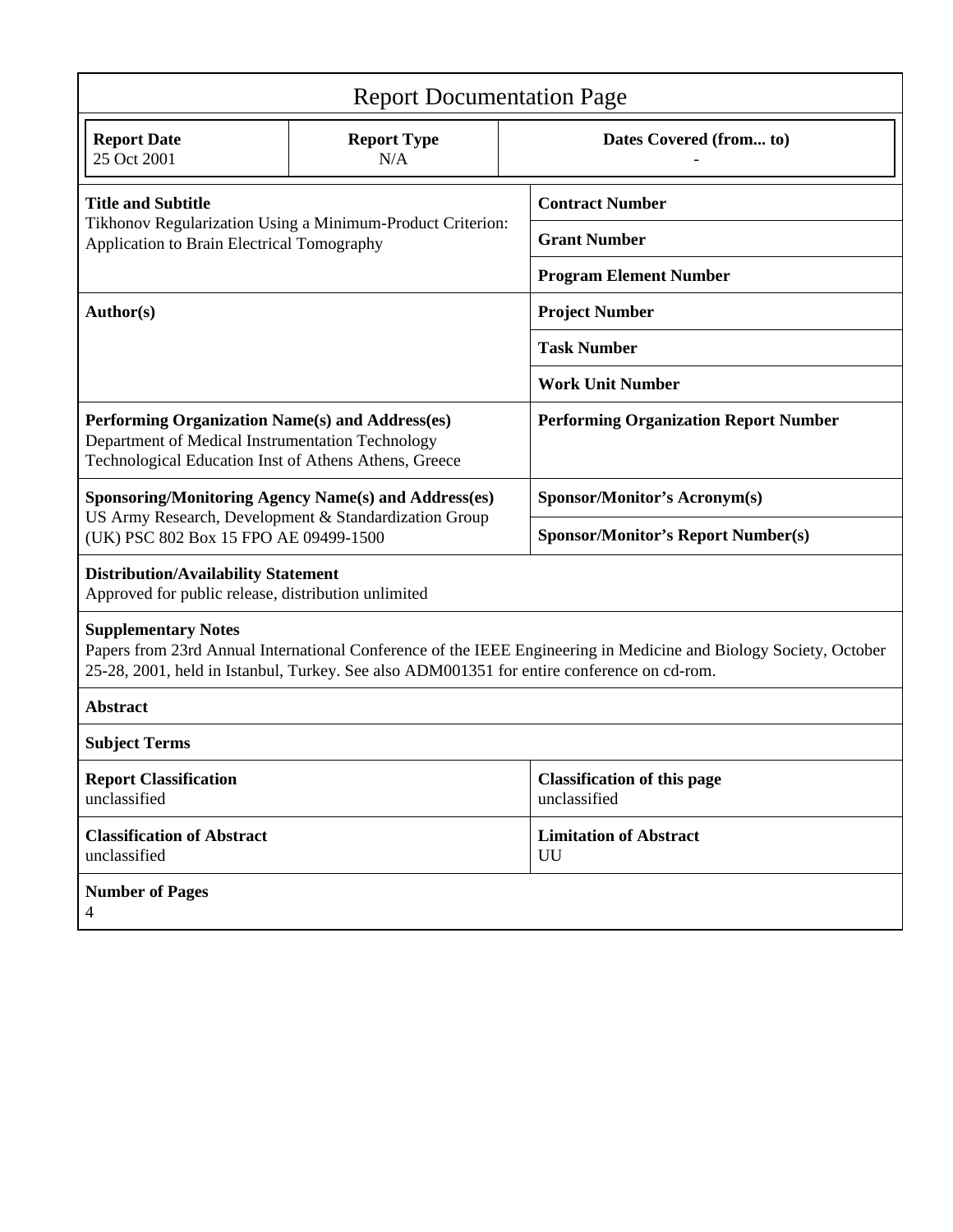| <b>Report Documentation Page</b>                                                                                                                                                                                                              |                           |  |                                                    |  |  |
|-----------------------------------------------------------------------------------------------------------------------------------------------------------------------------------------------------------------------------------------------|---------------------------|--|----------------------------------------------------|--|--|
| <b>Report Date</b><br>25 Oct 2001                                                                                                                                                                                                             | <b>Report Type</b><br>N/A |  | Dates Covered (from to)                            |  |  |
| <b>Title and Subtitle</b><br>Tikhonov Regularization Using a Minimum-Product Criterion:<br>Application to Brain Electrical Tomography                                                                                                         |                           |  | <b>Contract Number</b>                             |  |  |
|                                                                                                                                                                                                                                               |                           |  | <b>Grant Number</b>                                |  |  |
|                                                                                                                                                                                                                                               |                           |  | <b>Program Element Number</b>                      |  |  |
| Author(s)                                                                                                                                                                                                                                     |                           |  | <b>Project Number</b>                              |  |  |
|                                                                                                                                                                                                                                               |                           |  | <b>Task Number</b>                                 |  |  |
|                                                                                                                                                                                                                                               |                           |  | <b>Work Unit Number</b>                            |  |  |
| Performing Organization Name(s) and Address(es)<br>Department of Medical Instrumentation Technology<br>Technological Education Inst of Athens Athens, Greece                                                                                  |                           |  | <b>Performing Organization Report Number</b>       |  |  |
| <b>Sponsoring/Monitoring Agency Name(s) and Address(es)</b><br>US Army Research, Development & Standardization Group<br>(UK) PSC 802 Box 15 FPO AE 09499-1500                                                                                 |                           |  | <b>Sponsor/Monitor's Acronym(s)</b>                |  |  |
|                                                                                                                                                                                                                                               |                           |  | <b>Sponsor/Monitor's Report Number(s)</b>          |  |  |
| <b>Distribution/Availability Statement</b><br>Approved for public release, distribution unlimited                                                                                                                                             |                           |  |                                                    |  |  |
| <b>Supplementary Notes</b><br>Papers from 23rd Annual International Conference of the IEEE Engineering in Medicine and Biology Society, October<br>25-28, 2001, held in Istanbul, Turkey. See also ADM001351 for entire conference on cd-rom. |                           |  |                                                    |  |  |
| <b>Abstract</b>                                                                                                                                                                                                                               |                           |  |                                                    |  |  |
| <b>Subject Terms</b>                                                                                                                                                                                                                          |                           |  |                                                    |  |  |
| <b>Report Classification</b><br>unclassified                                                                                                                                                                                                  |                           |  | <b>Classification of this page</b><br>unclassified |  |  |
| <b>Classification of Abstract</b><br>unclassified                                                                                                                                                                                             |                           |  | <b>Limitation of Abstract</b><br>UU                |  |  |
| <b>Number of Pages</b><br>4                                                                                                                                                                                                                   |                           |  |                                                    |  |  |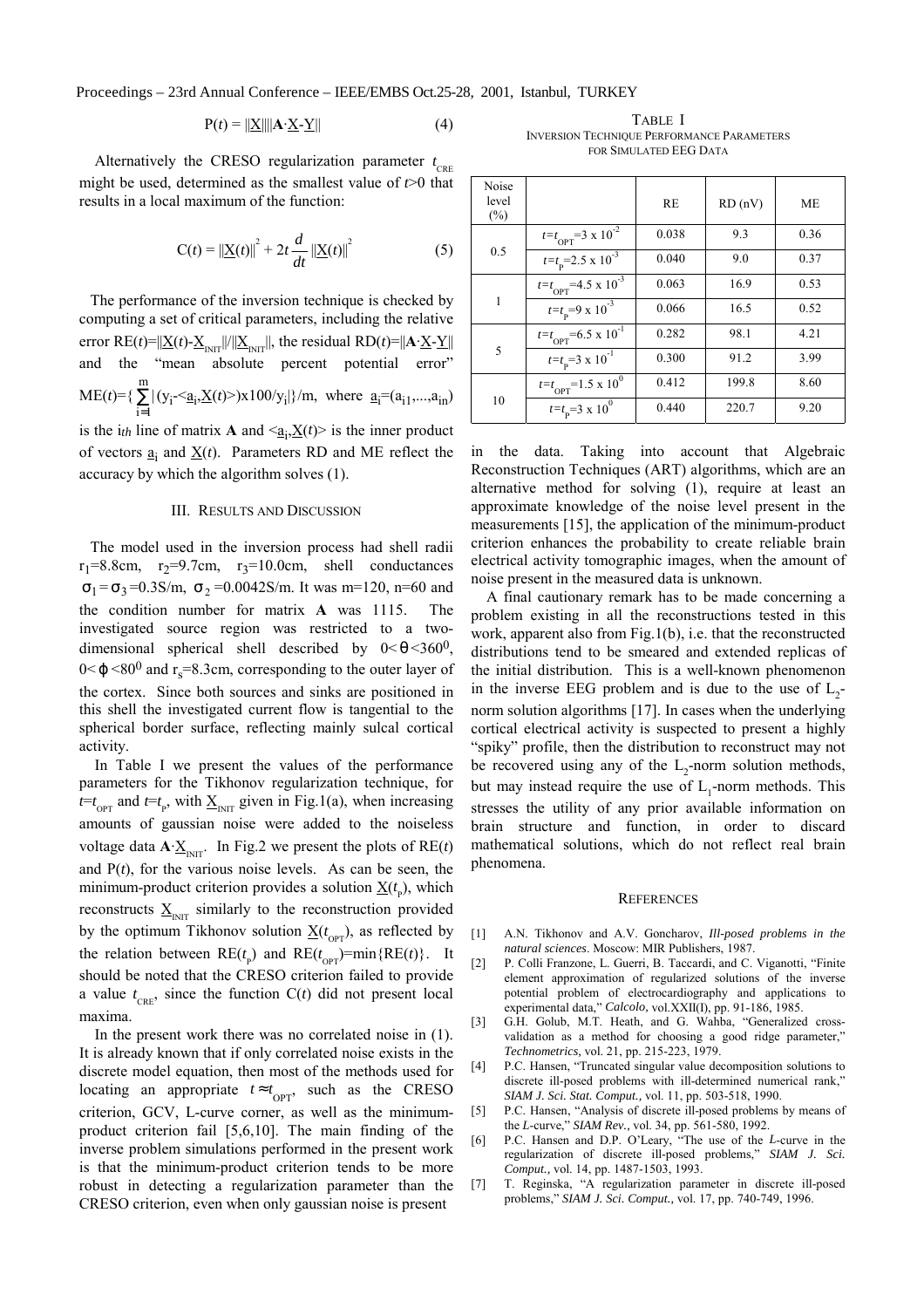Proceedings – 23rd Annual Conference – IEEE/EMBS Oct.25-28, 2001, Istanbul, TURKEY

$$
P(t) = ||\underline{X}|| ||A \cdot \underline{X} - \underline{Y}|| \tag{4}
$$

Alternatively the CRESO regularization parameter  $t_{\text{CRE}}$ might be used, determined as the smallest value of *t*>0 that results in a local maximum of the function:

$$
C(t) = ||\underline{X}(t)||^{2} + 2t \frac{d}{dt} ||\underline{X}(t)||^{2}
$$
 (5)

The performance of the inversion technique is checked by computing a set of critical parameters, including the relative error RE(*t*)= $||\underline{X}(t) - \underline{X}_{\text{INT}}||/||\underline{X}_{\text{INT}}||$ , the residual RD(*t*)= $||\mathbf{A} \cdot \underline{X} - \underline{Y}||$ and the "mean absolute percent potential error"  $ME(t)=\{\sum$ = m  $\sum_{i=1} |(y_i \leq a_i, \underline{X}(t) >) \times 100/y_i|$  m, where  $\underline{a}_i = (a_{i1},...,a_{in})$ is the  $i_{th}$  line of matrix **A** and  $\leq \underline{a_i}$ ,  $\underline{X}(t)$  is the inner product of vectors  $\underline{a}_i$  and  $\underline{X}(t)$ . Parameters RD and ME reflect the accuracy by which the algorithm solves (1).

## III. RESULTS AND DISCUSSION

The model used in the inversion process had shell radii  $r_1=8.8$ cm,  $r_2=9.7$ cm,  $r_3=10.0$ cm, shell conductances  $σ<sub>1</sub> = σ<sub>3</sub> = 0.3$ S/m,  $σ<sub>2</sub> = 0.0042$ S/m. It was m=120, n=60 and the condition number for matrix **A** was 1115. The investigated source region was restricted to a twodimensional spherical shell described by  $0 < \theta < 360^0$ ,  $0 < \varphi < 80^0$  and r<sub>s</sub>=8.3cm, corresponding to the outer layer of the cortex. Since both sources and sinks are positioned in this shell the investigated current flow is tangential to the spherical border surface, reflecting mainly sulcal cortical activity.

In Table I we present the values of the performance parameters for the Tikhonov regularization technique, for  $t=t_{\text{OPT}}$  and  $t=t_{\text{P}}$ , with  $\underline{X}_{\text{INT}}$  given in Fig.1(a), when increasing amounts of gaussian noise were added to the noiseless voltage data  $\mathbf{A} \cdot \underline{\mathbf{X}}_{\text{INIT}}$ . In Fig.2 we present the plots of  $\text{RE}(t)$ and P(*t*), for the various noise levels. As can be seen, the minimum-product criterion provides a solution  $\underline{X}(t_p)$ , which reconstructs  $\underline{X}_{\text{IMT}}$  similarly to the reconstruction provided by the optimum Tikhonov solution  $\underline{X}(t_{\text{OPT}})$ , as reflected by the relation between  $RE(t_{p})$  and  $RE(t_{OPT})=min\{RE(t)\}\$ . It should be noted that the CRESO criterion failed to provide a value  $t_{\text{CRE}}$ , since the function  $C(t)$  did not present local maxima.

In the present work there was no correlated noise in (1). It is already known that if only correlated noise exists in the discrete model equation, then most of the methods used for locating an appropriate  $t \approx t_{\text{OPT}}$ , such as the CRESO criterion, GCV, L-curve corner, as well as the minimumproduct criterion fail [5,6,10]. The main finding of the inverse problem simulations performed in the present work is that the minimum-product criterion tends to be more robust in detecting a regularization parameter than the CRESO criterion, even when only gaussian noise is present

TABLE I INVERSION TECHNIQUE PERFORMANCE PARAMETERS FOR SIMULATED EEG DATA

| Noise<br>level<br>$(\%)$ |                                                 | <b>RE</b> | RD(nV) | <b>ME</b> |
|--------------------------|-------------------------------------------------|-----------|--------|-----------|
| 0.5                      | $t=t_{\text{OPT}}=3 \times 10^{-2}$             | 0.038     | 9.3    | 0.36      |
|                          | $t=t_{\rm p}$ =2.5 x 10 <sup>-3</sup>           | 0.040     | 9.0    | 0.37      |
| 1                        | $t=t_{\text{OPT}}$ =4.5 x 10 <sup>-3</sup>      | 0.063     | 16.9   | 0.53      |
|                          | $t=t_{\rm p}=9 \times 10^{-3}$                  | 0.066     | 16.5   | 0.52      |
| 5                        | $t=t_{\text{OPT}}=6.5 \times 10^{-1}$           | 0.282     | 98.1   | 4.21      |
|                          | $t=t_{\rm p}=3 \times 10^{-1}$                  | 0.300     | 91.2   | 3.99      |
| 10                       | $t=t_{\text{OPT}}=1.5 \times 10^{\overline{0}}$ | 0.412     | 199.8  | 8.60      |
|                          | $t=t_{\rm p}=3 \times 10^{0}$                   | 0.440     | 220.7  | 9.20      |

in the data. Taking into account that Algebraic Reconstruction Techniques (ART) algorithms, which are an alternative method for solving (1), require at least an approximate knowledge of the noise level present in the measurements [15], the application of the minimum-product criterion enhances the probability to create reliable brain electrical activity tomographic images, when the amount of noise present in the measured data is unknown.

A final cautionary remark has to be made concerning a problem existing in all the reconstructions tested in this work, apparent also from Fig.1(b), i.e. that the reconstructed distributions tend to be smeared and extended replicas of the initial distribution. This is a well-known phenomenon in the inverse EEG problem and is due to the use of  $L_2$ norm solution algorithms [17]. In cases when the underlying cortical electrical activity is suspected to present a highly "spiky" profile, then the distribution to reconstruct may not be recovered using any of the  $L_2$ -norm solution methods, but may instead require the use of  $L_1$ -norm methods. This stresses the utility of any prior available information on brain structure and function, in order to discard mathematical solutions, which do not reflect real brain phenomena.

#### **REFERENCES**

- [1] A.N. Tikhonov and A.V. Goncharov, *Ill-posed problems in the natural sciences*. Moscow: MIR Publishers, 1987.
- [2] P. Colli Franzone, L. Guerri, B. Taccardi, and C. Viganotti, "Finite element approximation of regularized solutions of the inverse potential problem of electrocardiography and applications to experimental data," *Calcolo,* vol.XXII(I), pp. 91-186, 1985.
- [3] G.H. Golub, M.T. Heath, and G. Wahba, "Generalized crossvalidation as a method for choosing a good ridge parameter," *Technometrics,* vol. 21, pp. 215-223, 1979.
- [4] P.C. Hansen, "Truncated singular value decomposition solutions to discrete ill-posed problems with ill-determined numerical rank," *SIAM J. Sci. Stat. Comput.,* vol. 11, pp. 503-518, 1990.
- [5] P.C. Hansen, "Analysis of discrete ill-posed problems by means of the *L*-curve," *SIAM Rev.,* vol. 34, pp. 561-580, 1992.
- [6] P.C. Hansen and D.P. O'Leary, "The use of the *L*-curve in the regularization of discrete ill-posed problems," *SIAM J. Sci. Comput.,* vol. 14, pp. 1487-1503, 1993.
- [7] T. Reginska, "A regularization parameter in discrete ill-posed problems," *SIAM J. Sci. Comput.,* vol. 17, pp. 740-749, 1996.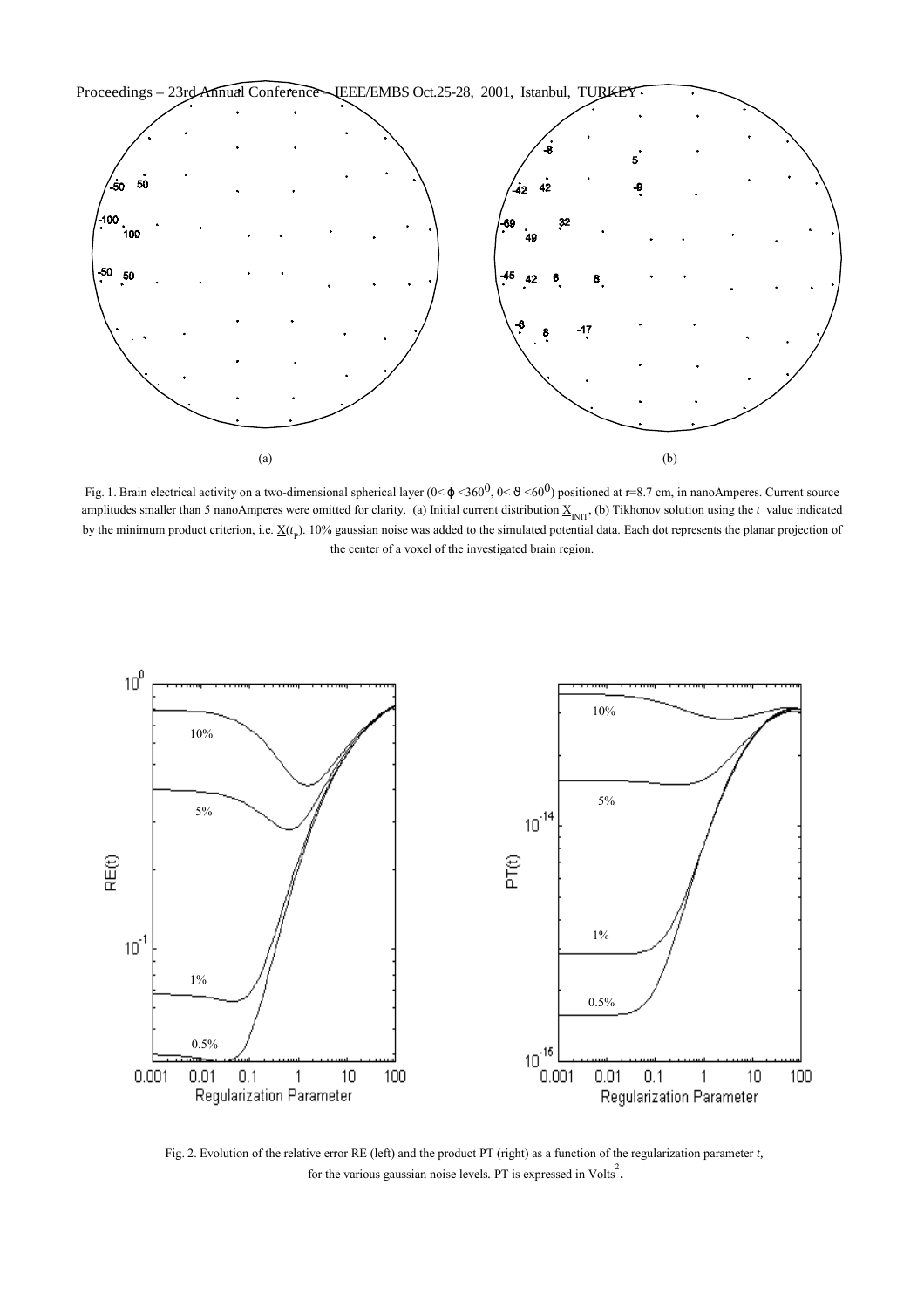

Fig. 1. Brain electrical activity on a two-dimensional spherical layer  $(0<\varphi<360^0, 0<\vartheta<60^0)$  positioned at r=8.7 cm, in nanoAmperes. Current source amplitudes smaller than 5 nanoAmperes were omitted for clarity. (a) Initial current distribution  $\underline{X}_{\text{INT}}$ , (b) Tikhonov solution using the *t* value indicated by the minimum product criterion, i.e. <u>X</u>(*t*<sub>p</sub>). 10% gaussian noise was added to the simulated potential data. Each dot represents the planar projection of the center of a voxel of the investigated brain region.



Fig. 2. Evolution of the relative error RE (left) and the product PT (right) as a function of the regularization parameter *t,* for the various gaussian noise levels. PT is expressed in Volts<sup>2</sup>.